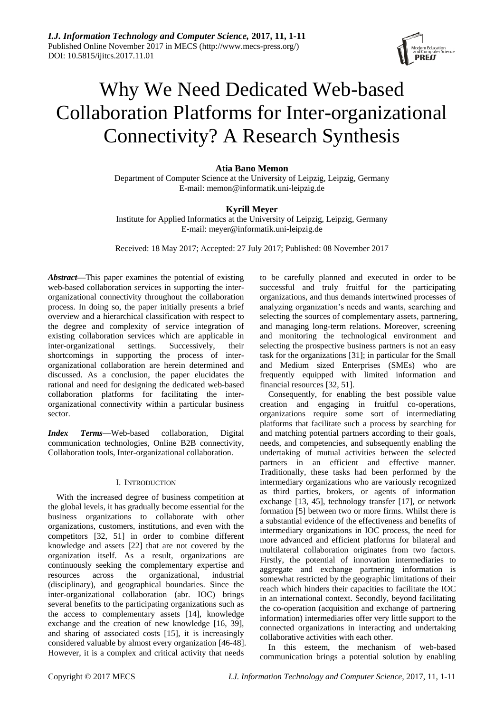

# Why We Need Dedicated Web-based Collaboration Platforms for Inter-organizational Connectivity? A Research Synthesis

# **Atia Bano Memon**

Department of Computer Science at the University of Leipzig, Leipzig, Germany E-mail: memon@informatik.uni-leipzig.de

# **Kyrill Meyer**

Institute for Applied Informatics at the University of Leipzig, Leipzig, Germany E-mail: meyer@informatik.uni-leipzig.de

Received: 18 May 2017; Accepted: 27 July 2017; Published: 08 November 2017

*Abstract***—**This paper examines the potential of existing web-based collaboration services in supporting the interorganizational connectivity throughout the collaboration process. In doing so, the paper initially presents a brief overview and a hierarchical classification with respect to the degree and complexity of service integration of existing collaboration services which are applicable in inter-organizational settings. Successively, their inter-organizational settings. Successively, their shortcomings in supporting the process of interorganizational collaboration are herein determined and discussed. As a conclusion, the paper elucidates the rational and need for designing the dedicated web-based collaboration platforms for facilitating the interorganizational connectivity within a particular business sector.

*Index Terms*—Web-based collaboration, Digital communication technologies, Online B2B connectivity, Collaboration tools, Inter-organizational collaboration.

## I. INTRODUCTION

With the increased degree of business competition at the global levels, it has gradually become essential for the business organizations to collaborate with other organizations, customers, institutions, and even with the competitors [32, 51] in order to combine different knowledge and assets [22] that are not covered by the organization itself. As a result, organizations are continuously seeking the complementary expertise and resources across the organizational, industrial (disciplinary), and geographical boundaries. Since the inter-organizational collaboration (abr. IOC) brings several benefits to the participating organizations such as the access to complementary assets [14], knowledge exchange and the creation of new knowledge [16, 39], and sharing of associated costs [15], it is increasingly considered valuable by almost every organization [46-48]. However, it is a complex and critical activity that needs

to be carefully planned and executed in order to be successful and truly fruitful for the participating organizations, and thus demands intertwined processes of analyzing organization's needs and wants, searching and selecting the sources of complementary assets, partnering, and managing long-term relations. Moreover, screening and monitoring the technological environment and selecting the prospective business partners is not an easy task for the organizations [31]; in particular for the Small and Medium sized Enterprises (SMEs) who are frequently equipped with limited information and financial resources [32, 51].

Consequently, for enabling the best possible value creation and engaging in fruitful co-operations, organizations require some sort of intermediating platforms that facilitate such a process by searching for and matching potential partners according to their goals, needs, and competencies, and subsequently enabling the undertaking of mutual activities between the selected partners in an efficient and effective manner. Traditionally, these tasks had been performed by the intermediary organizations who are variously recognized as third parties, brokers, or agents of information exchange [13, 45], technology transfer [17], or network formation [5] between two or more firms. Whilst there is a substantial evidence of the effectiveness and benefits of intermediary organizations in IOC process, the need for more advanced and efficient platforms for bilateral and multilateral collaboration originates from two factors. Firstly, the potential of innovation intermediaries to aggregate and exchange partnering information is somewhat restricted by the geographic limitations of their reach which hinders their capacities to facilitate the IOC in an international context. Secondly, beyond facilitating the co-operation (acquisition and exchange of partnering information) intermediaries offer very little support to the connected organizations in interacting and undertaking collaborative activities with each other.

In this esteem, the mechanism of web-based communication brings a potential solution by enabling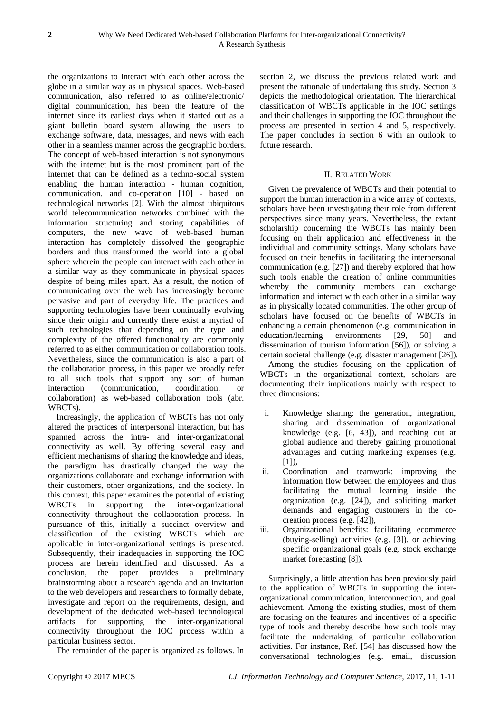the organizations to interact with each other across the globe in a similar way as in physical spaces. Web-based communication, also referred to as online/electronic/ digital communication, has been the feature of the internet since its earliest days when it started out as a giant bulletin board system allowing the users to exchange software, data, messages, and news with each other in a seamless manner across the geographic borders. The concept of web-based interaction is not synonymous with the internet but is the most prominent part of the internet that can be defined as a techno-social system enabling the human interaction - human cognition, communication, and co-operation [10] - based on technological networks [2]. With the almost ubiquitous world telecommunication networks combined with the information structuring and storing capabilities of computers, the new wave of web-based human interaction has completely dissolved the geographic borders and thus transformed the world into a global sphere wherein the people can interact with each other in a similar way as they communicate in physical spaces despite of being miles apart. As a result, the notion of communicating over the web has increasingly become pervasive and part of everyday life. The practices and supporting technologies have been continually evolving since their origin and currently there exist a myriad of such technologies that depending on the type and complexity of the offered functionality are commonly referred to as either communication or collaboration tools. Nevertheless, since the communication is also a part of the collaboration process, in this paper we broadly refer to all such tools that support any sort of human interaction (communication, coordination, or collaboration) as web-based collaboration tools (abr. WBCTs).

Increasingly, the application of WBCTs has not only altered the practices of interpersonal interaction, but has spanned across the intra- and inter-organizational connectivity as well. By offering several easy and efficient mechanisms of sharing the knowledge and ideas, the paradigm has drastically changed the way the organizations collaborate and exchange information with their customers, other organizations, and the society. In this context, this paper examines the potential of existing WBCTs in supporting the inter-organizational connectivity throughout the collaboration process. In pursuance of this, initially a succinct overview and classification of the existing WBCTs which are applicable in inter-organizational settings is presented. Subsequently, their inadequacies in supporting the IOC process are herein identified and discussed. As a conclusion, the paper provides a preliminary brainstorming about a research agenda and an invitation to the web developers and researchers to formally debate, investigate and report on the requirements, design, and development of the dedicated web-based technological artifacts for supporting the inter-organizational connectivity throughout the IOC process within a particular business sector.

The remainder of the paper is organized as follows. In

section 2, we discuss the previous related work and present the rationale of undertaking this study. Section 3 depicts the methodological orientation. The hierarchical classification of WBCTs applicable in the IOC settings and their challenges in supporting the IOC throughout the process are presented in section 4 and 5, respectively. The paper concludes in section 6 with an outlook to future research.

# II. RELATED WORK

Given the prevalence of WBCTs and their potential to support the human interaction in a wide array of contexts, scholars have been investigating their role from different perspectives since many years. Nevertheless, the extant scholarship concerning the WBCTs has mainly been focusing on their application and effectiveness in the individual and community settings. Many scholars have focused on their benefits in facilitating the interpersonal communication (e.g. [27]) and thereby explored that how such tools enable the creation of online communities whereby the community members can exchange information and interact with each other in a similar way as in physically located communities. The other group of scholars have focused on the benefits of WBCTs in enhancing a certain phenomenon (e.g. communication in education/learning environments [29, 50] and dissemination of tourism information [56]), or solving a certain societal challenge (e.g. disaster management [26]).

Among the studies focusing on the application of WBCTs in the organizational context, scholars are documenting their implications mainly with respect to three dimensions:

- i. Knowledge sharing: the generation, integration, sharing and dissemination of organizational knowledge (e.g. [6, 43]), and reaching out at global audience and thereby gaining promotional advantages and cutting marketing expenses (e.g.  $[1]$ ),
- ii. Coordination and teamwork: improving the information flow between the employees and thus facilitating the mutual learning inside the organization (e.g. [24]), and soliciting market demands and engaging customers in the cocreation process (e.g. [42]),
- iii. Organizational benefits: facilitating ecommerce (buying-selling) activities (e.g. [3]), or achieving specific organizational goals (e.g. stock exchange market forecasting [8]).

Surprisingly, a little attention has been previously paid to the application of WBCTs in supporting the interorganizational communication, interconnection, and goal achievement. Among the existing studies, most of them are focusing on the features and incentives of a specific type of tools and thereby describe how such tools may facilitate the undertaking of particular collaboration activities. For instance, Ref. [54] has discussed how the conversational technologies (e.g. email, discussion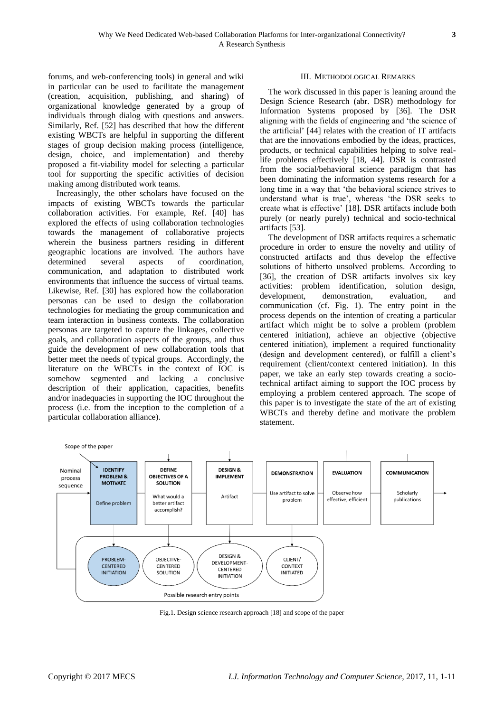forums, and web-conferencing tools) in general and wiki in particular can be used to facilitate the management (creation, acquisition, publishing, and sharing) of organizational knowledge generated by a group of individuals through dialog with questions and answers. Similarly, Ref. [52] has described that how the different existing WBCTs are helpful in supporting the different stages of group decision making process (intelligence, design, choice, and implementation) and thereby proposed a fit-viability model for selecting a particular tool for supporting the specific activities of decision making among distributed work teams.

Increasingly, the other scholars have focused on the impacts of existing WBCTs towards the particular collaboration activities. For example, Ref. [40] has explored the effects of using collaboration technologies towards the management of collaborative projects wherein the business partners residing in different geographic locations are involved. The authors have determined several aspects of coordination, communication, and adaptation to distributed work environments that influence the success of virtual teams. Likewise, Ref. [30] has explored how the collaboration personas can be used to design the collaboration technologies for mediating the group communication and team interaction in business contexts. The collaboration personas are targeted to capture the linkages, collective goals, and collaboration aspects of the groups, and thus guide the development of new collaboration tools that better meet the needs of typical groups. Accordingly, the literature on the WBCTs in the context of IOC is somehow segmented and lacking a conclusive description of their application, capacities, benefits and/or inadequacies in supporting the IOC throughout the process (i.e. from the inception to the completion of a particular collaboration alliance).

#### III. METHODOLOGICAL REMARKS

The work discussed in this paper is leaning around the Design Science Research (abr. DSR) methodology for Information Systems proposed by [36]. The DSR aligning with the fields of engineering and 'the science of the artificial' [44] relates with the creation of IT artifacts that are the innovations embodied by the ideas, practices, products, or technical capabilities helping to solve reallife problems effectively [18, 44]. DSR is contrasted from the social/behavioral science paradigm that has been dominating the information systems research for a long time in a way that 'the behavioral science strives to understand what is true', whereas 'the DSR seeks to create what is effective' [18]. DSR artifacts include both purely (or nearly purely) technical and socio-technical artifacts [53].

The development of DSR artifacts requires a schematic procedure in order to ensure the novelty and utility of constructed artifacts and thus develop the effective solutions of hitherto unsolved problems. According to [36], the creation of DSR artifacts involves six key activities: problem identification, solution design, development, demonstration, evaluation, and communication (cf. Fig. 1). The entry point in the process depends on the intention of creating a particular artifact which might be to solve a problem (problem centered initiation), achieve an objective (objective centered initiation), implement a required functionality (design and development centered), or fulfill a client's requirement (client/context centered initiation). In this paper, we take an early step towards creating a sociotechnical artifact aiming to support the IOC process by employing a problem centered approach. The scope of this paper is to investigate the state of the art of existing WBCTs and thereby define and motivate the problem statement.



Fig.1. Design science research approach [18] and scope of the paper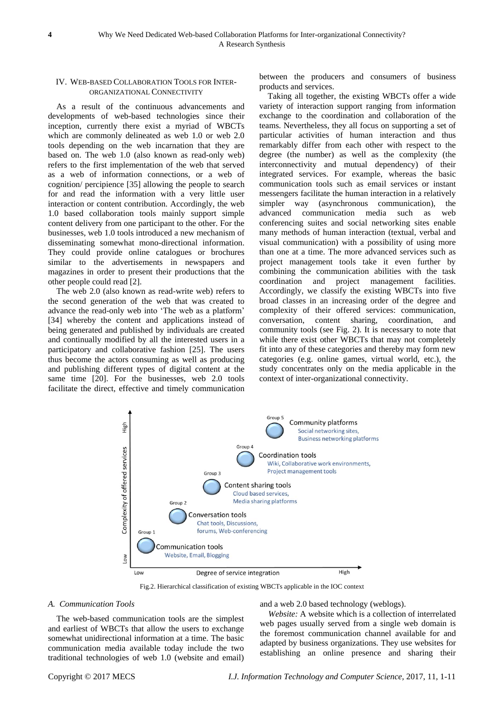#### IV. WEB-BASED COLLABORATION TOOLS FOR INTER-ORGANIZATIONAL CONNECTIVITY

As a result of the continuous advancements and developments of web-based technologies since their inception, currently there exist a myriad of WBCTs which are commonly delineated as web 1.0 or web 2.0 tools depending on the web incarnation that they are based on. The web 1.0 (also known as read-only web) refers to the first implementation of the web that served as a web of information connections, or a web of cognition/ percipience [35] allowing the people to search for and read the information with a very little user interaction or content contribution. Accordingly, the web 1.0 based collaboration tools mainly support simple content delivery from one participant to the other. For the businesses, web 1.0 tools introduced a new mechanism of disseminating somewhat mono-directional information. They could provide online catalogues or brochures similar to the advertisements in newspapers and magazines in order to present their productions that the other people could read [2].

The web 2.0 (also known as read-write web) refers to the second generation of the web that was created to advance the read-only web into 'The web as a platform' [34] whereby the content and applications instead of being generated and published by individuals are created and continually modified by all the interested users in a participatory and collaborative fashion [25]. The users thus become the actors consuming as well as producing and publishing different types of digital content at the same time [20]. For the businesses, web 2.0 tools facilitate the direct, effective and timely communication

between the producers and consumers of business products and services.

Taking all together, the existing WBCTs offer a wide variety of interaction support ranging from information exchange to the coordination and collaboration of the teams. Nevertheless, they all focus on supporting a set of particular activities of human interaction and thus remarkably differ from each other with respect to the degree (the number) as well as the complexity (the interconnectivity and mutual dependency) of their integrated services. For example, whereas the basic communication tools such as email services or instant messengers facilitate the human interaction in a relatively simpler way (asynchronous communication), the advanced communication media such as web conferencing suites and social networking sites enable many methods of human interaction (textual, verbal and visual communication) with a possibility of using more than one at a time. The more advanced services such as project management tools take it even further by combining the communication abilities with the task coordination and project management facilities. Accordingly, we classify the existing WBCTs into five broad classes in an increasing order of the degree and complexity of their offered services: communication, conversation, content sharing, coordination, and community tools (see Fig. 2). It is necessary to note that while there exist other WBCTs that may not completely fit into any of these categories and thereby may form new categories (e.g. online games, virtual world, etc.), the study concentrates only on the media applicable in the context of inter-organizational connectivity.



Fig.2. Hierarchical classification of existing WBCTs applicable in the IOC context

## *A. Communication Tools*

The web-based communication tools are the simplest and earliest of WBCTs that allow the users to exchange somewhat unidirectional information at a time. The basic communication media available today include the two traditional technologies of web 1.0 (website and email)

and a web 2.0 based technology (weblogs).

*Website:* A website which is a collection of interrelated web pages usually served from a single web domain is the foremost communication channel available for and adapted by business organizations. They use websites for establishing an online presence and sharing their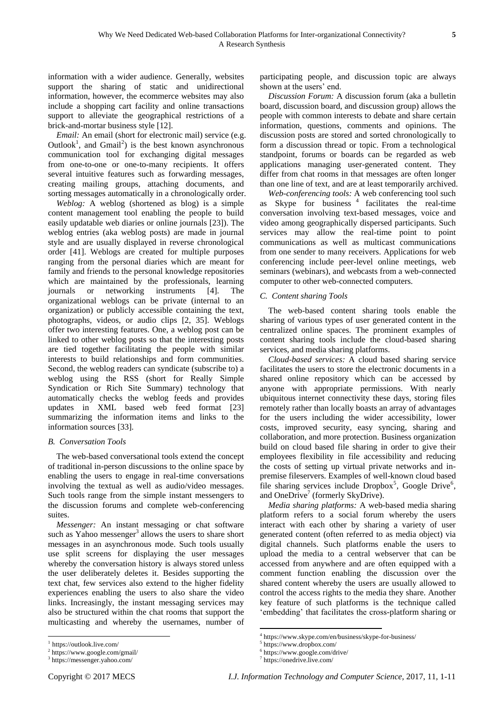information with a wider audience. Generally, websites support the sharing of static and unidirectional information, however, the ecommerce websites may also include a shopping cart facility and online transactions support to alleviate the geographical restrictions of a brick-and-mortar business style [12].

*Email:* An email (short for electronic mail) service (e.g. Outlook<sup>1</sup>, and Gmail<sup>2</sup>) is the best known asynchronous communication tool for exchanging digital messages from one-to-one or one-to-many recipients. It offers several intuitive features such as forwarding messages, creating mailing groups, attaching documents, and sorting messages automatically in a chronologically order.

*Weblog:* A weblog (shortened as blog) is a simple content management tool enabling the people to build easily updatable web diaries or online journals [23]). The weblog entries (aka weblog posts) are made in journal style and are usually displayed in reverse chronological order [41]. Weblogs are created for multiple purposes ranging from the personal diaries which are meant for family and friends to the personal knowledge repositories which are maintained by the professionals, learning journals or networking instruments [4]. The organizational weblogs can be private (internal to an organization) or publicly accessible containing the text, photographs, videos, or audio clips [2, 35]. Weblogs offer two interesting features. One, a weblog post can be linked to other weblog posts so that the interesting posts are tied together facilitating the people with similar interests to build relationships and form communities. Second, the weblog readers can syndicate (subscribe to) a weblog using the RSS (short for Really Simple Syndication or Rich Site Summary) technology that automatically checks the weblog feeds and provides updates in XML based web feed format [23] summarizing the information items and links to the information sources [33].

## *B. Conversation Tools*

The web-based conversational tools extend the concept of traditional in-person discussions to the online space by enabling the users to engage in real-time conversations involving the textual as well as audio/video messages. Such tools range from the simple instant messengers to the discussion forums and complete web-conferencing suites.

*Messenger:* An instant messaging or chat software such as Yahoo messenger<sup>3</sup> allows the users to share short messages in an asynchronous mode. Such tools usually use split screens for displaying the user messages whereby the conversation history is always stored unless the user deliberately deletes it. Besides supporting the text chat, few services also extend to the higher fidelity experiences enabling the users to also share the video links. Increasingly, the instant messaging services may also be structured within the chat rooms that support the multicasting and whereby the usernames, number of

 $\overline{\phantom{a}}$ 

participating people, and discussion topic are always shown at the users' end.

*Discussion Forum:* A discussion forum (aka a bulletin board, discussion board, and discussion group) allows the people with common interests to debate and share certain information, questions, comments and opinions. The discussion posts are stored and sorted chronologically to form a discussion thread or topic. From a technological standpoint, forums or boards can be regarded as web applications managing user-generated content. They differ from chat rooms in that messages are often longer than one line of text, and are at least temporarily archived.

*Web-conferencing tools:* A web conferencing tool such as Skype for business<sup>4</sup> facilitates the real-time conversation involving text-based messages, voice and video among geographically dispersed participants. Such services may allow the real-time point to point communications as well as multicast communications from one sender to many receivers. Applications for web conferencing include peer-level online meetings, web seminars (webinars), and webcasts from a web-connected computer to other web-connected computers.

#### *C. Content sharing Tools*

The web-based content sharing tools enable the sharing of various types of user generated content in the centralized online spaces. The prominent examples of content sharing tools include the cloud-based sharing services, and media sharing platforms.

*Cloud-based services:* A cloud based sharing service facilitates the users to store the electronic documents in a shared online repository which can be accessed by anyone with appropriate permissions. With nearly ubiquitous internet connectivity these days, storing files remotely rather than locally boasts an array of advantages for the users including the wider accessibility, lower costs, improved security, easy syncing, sharing and collaboration, and more protection. Business organization build on cloud based file sharing in order to give their employees flexibility in file accessibility and reducing the costs of setting up virtual private networks and inpremise fileservers. Examples of well-known cloud based file sharing services include Dropbox<sup>5</sup>, Google Drive<sup>6</sup>, and OneDrive<sup>7</sup> (formerly SkyDrive).

*Media sharing platforms:* A web-based media sharing platform refers to a social forum whereby the users interact with each other by sharing a variety of user generated content (often referred to as media object) via digital channels. Such platforms enable the users to upload the media to a central webserver that can be accessed from anywhere and are often equipped with a comment function enabling the discussion over the shared content whereby the users are usually allowed to control the access rights to the media they share. Another key feature of such platforms is the technique called 'embedding' that facilitates the cross-platform sharing or

<sup>&</sup>lt;sup>1</sup> https://outlook.live.com/

<sup>2</sup> <https://www.google.com/gmail/>

<sup>3</sup> https://messenger.yahoo.com/

 4 <https://www.skype.com/en/business/skype-for-business/>

<sup>5</sup> <https://www.dropbox.com/>

<sup>6</sup> <https://www.google.com/drive/>

<sup>7</sup> <https://onedrive.live.com/>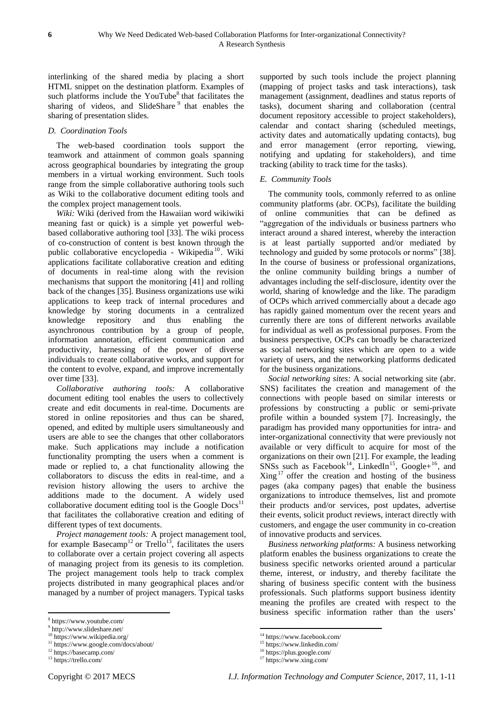interlinking of the shared media by placing a short HTML snippet on the destination platform. Examples of such platforms include the YouTube $8$  that facilitates the sharing of videos, and SlideShare <sup>9</sup> that enables the sharing of presentation slides.

## *D. Coordination Tools*

The web-based coordination tools support the teamwork and attainment of common goals spanning across geographical boundaries by integrating the group members in a virtual working environment. Such tools range from the simple collaborative authoring tools such as Wiki to the collaborative document editing tools and the complex project management tools.

*Wiki:* Wiki (derived from the Hawaiian word wikiwiki meaning fast or quick) is a simple yet powerful webbased collaborative authoring tool [33]. The wiki process of co-construction of content is best known through the public collaborative encyclopedia - Wikipedia<sup>10</sup>. Wiki applications facilitate collaborative creation and editing of documents in real-time along with the revision mechanisms that support the monitoring [41] and rolling back of the changes [35]. Business organizations use wiki applications to keep track of internal procedures and knowledge by storing documents in a centralized knowledge repository and thus enabling the asynchronous contribution by a group of people, information annotation, efficient communication and productivity, harnessing of the power of diverse individuals to create collaborative works, and support for the content to evolve, expand, and improve incrementally over time [33].

*Collaborative authoring tools:* A collaborative document editing tool enables the users to collectively create and edit documents in real-time. Documents are stored in online repositories and thus can be shared, opened, and edited by multiple users simultaneously and users are able to see the changes that other collaborators make. Such applications may include a notification functionality prompting the users when a comment is made or replied to, a chat functionality allowing the collaborators to discuss the edits in real-time, and a revision history allowing the users to archive the additions made to the document. A widely used collaborative document editing tool is the Google  $Docs<sup>11</sup>$ that facilitates the collaborative creation and editing of different types of text documents.

*Project management tools:* A project management tool, for example Basecamp<sup>12</sup> or Trello<sup>13</sup>, facilitates the users to collaborate over a certain project covering all aspects of managing project from its genesis to its completion. The project management tools help to track complex projects distributed in many geographical places and/or managed by a number of project managers. Typical tasks

 $\overline{\phantom{a}}$ 

supported by such tools include the project planning (mapping of project tasks and task interactions), task management (assignment, deadlines and status reports of tasks), document sharing and collaboration (central document repository accessible to project stakeholders), calendar and contact sharing (scheduled meetings, activity dates and automatically updating contacts), bug and error management (error reporting, viewing, notifying and updating for stakeholders), and time tracking (ability to track time for the tasks).

## *E. Community Tools*

The community tools, commonly referred to as online community platforms (abr. OCPs), facilitate the building of online communities that can be defined as "aggregation of the individuals or business partners who interact around a shared interest, whereby the interaction is at least partially supported and/or mediated by technology and guided by some protocols or norms" [38]. In the course of business or professional organizations, the online community building brings a number of advantages including the self-disclosure, identity over the world, sharing of knowledge and the like. The paradigm of OCPs which arrived commercially about a decade ago has rapidly gained momentum over the recent years and currently there are tons of different networks available for individual as well as professional purposes. From the business perspective, OCPs can broadly be characterized as social networking sites which are open to a wide variety of users, and the networking platforms dedicated for the business organizations.

*Social networking sites:* A social networking site (abr. SNS) facilitates the creation and management of the connections with people based on similar interests or professions by constructing a public or semi-private profile within a bounded system [7]. Increasingly, the paradigm has provided many opportunities for intra- and inter-organizational connectivity that were previously not available or very difficult to acquire for most of the organizations on their own [21]. For example, the leading SNSs such as Facebook<sup>14</sup>, LinkedIn<sup>15</sup>, Google+<sup>16</sup>, and  $Xing$ <sup>17</sup> offer the creation and hosting of the business pages (aka company pages) that enable the business organizations to introduce themselves, list and promote their products and/or services, post updates, advertise their events, solicit product reviews, interact directly with customers, and engage the user community in co-creation of innovative products and services.

*Business networking platforms:* A business networking platform enables the business organizations to create the business specific networks oriented around a particular theme, interest, or industry, and thereby facilitate the sharing of business specific content with the business professionals. Such platforms support business identity meaning the profiles are created with respect to the business specific information rather than the users'

<sup>8</sup> <https://www.youtube.com/>

<sup>9</sup> <http://www.slideshare.net/>

<sup>10</sup> <https://www.wikipedia.org/>

<sup>&</sup>lt;sup>11</sup> <https://www.google.com/docs/about/>

<sup>12</sup> <https://basecamp.com/>

<sup>13</sup> <https://trello.com/>

 $\overline{a}$ <sup>14</sup> <https://www.facebook.com/>

<sup>15</sup> <https://www.linkedin.com/>

<sup>16</sup> <https://plus.google.com/>

<sup>&</sup>lt;sup>17</sup> <https://www.xing.com/>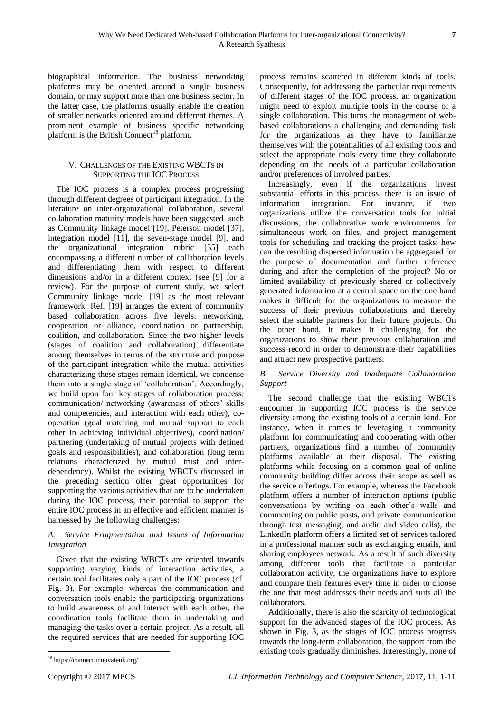biographical information. The business networking platforms may be oriented around a single business domain, or may support more than one business sector. In the latter case, the platforms usually enable the creation of smaller networks oriented around different themes. A prominent example of business specific networking platform is the British Connect<sup>18</sup> platform.

# V. CHALLENGES OF THE EXISTING WBCTS IN SUPPORTING THE IOC PROCESS

The IOC process is a complex process progressing through different degrees of participant integration. In the literature on inter-organizational collaboration, several collaboration maturity models have been suggested such as Community linkage model [19], Peterson model [37], integration model [11], the seven-stage model [9], and the organizational integration rubric [55] each encompassing a different number of collaboration levels and differentiating them with respect to different dimensions and/or in a different context (see [9] for a review). For the purpose of current study, we select Community linkage model [19] as the most relevant framework. Ref. [19] arranges the extent of community based collaboration across five levels: networking, cooperation or alliance, coordination or partnership, coalition, and collaboration. Since the two higher levels (stages of coalition and collaboration) differentiate among themselves in terms of the structure and purpose of the participant integration while the mutual activities characterizing these stages remain identical, we condense them into a single stage of 'collaboration'. Accordingly, we build upon four key stages of collaboration process: communication/ networking (awareness of others' skills and competencies, and interaction with each other), cooperation (goal matching and mutual support to each other in achieving individual objectives), coordination/ partnering (undertaking of mutual projects with defined goals and responsibilities), and collaboration (long term relations characterized by mutual trust and interdependency). Whilst the existing WBCTs discussed in the preceding section offer great opportunities for supporting the various activities that are to be undertaken during the IOC process, their potential to support the entire IOC process in an effective and efficient manner is harnessed by the following challenges:

# *A. Service Fragmentation and Issues of Information Integration*

Given that the existing WBCTs are oriented towards supporting varying kinds of interaction activities, a certain tool facilitates only a part of the IOC process (cf. Fig. 3). For example, whereas the communication and conversation tools enable the participating organizations to build awareness of and interact with each other, the coordination tools facilitate them in undertaking and managing the tasks over a certain project. As a result, all the required services that are needed for supporting IOC

process remains scattered in different kinds of tools. Consequently, for addressing the particular requirements of different stages of the IOC process, an organization might need to exploit multiple tools in the course of a single collaboration. This turns the management of webbased collaborations a challenging and demanding task for the organizations as they have to familiarize themselves with the potentialities of all existing tools and select the appropriate tools every time they collaborate depending on the needs of a particular collaboration and/or preferences of involved parties.

Increasingly, even if the organizations invest substantial efforts in this process, there is an issue of information integration. For instance, if two organizations utilize the conversation tools for initial discussions, the collaborative work environments for simultaneous work on files, and project management tools for scheduling and tracking the project tasks; how can the resulting dispersed information be aggregated for the purpose of documentation and further reference during and after the completion of the project? No or limited availability of previously shared or collectively generated information at a central space on the one hand makes it difficult for the organizations to measure the success of their previous collaborations and thereby select the suitable partners for their future projects. On the other hand, it makes it challenging for the organizations to show their previous collaboration and success record in order to demonstrate their capabilities and attract new prospective partners.

# *B. Service Diversity and Inadequate Collaboration Support*

The second challenge that the existing WBCTs encounter in supporting IOC process is the service diversity among the existing tools of a certain kind. For instance, when it comes to leveraging a community platform for communicating and cooperating with other partners, organizations find a number of community platforms available at their disposal. The existing platforms while focusing on a common goal of online community building differ across their scope as well as the service offerings. For example, whereas the Facebook platform offers a number of interaction options (public conversations by writing on each other's walls and commenting on public posts, and private communication through text messaging, and audio and video calls), the LinkedIn platform offers a limited set of services tailored in a professional manner such as exchanging emails, and sharing employees network. As a result of such diversity among different tools that facilitate a particular collaboration activity, the organizations have to explore and compare their features every time in order to choose the one that most addresses their needs and suits all the collaborators.

Additionally, there is also the scarcity of technological support for the advanced stages of the IOC process. As shown in Fig. 3, as the stages of IOC process progress towards the long-term collaboration, the support from the existing tools gradually diminishes. Interestingly, none of

 $\overline{\phantom{a}}$ <sup>18</sup> <https://connect.innovateuk.org/>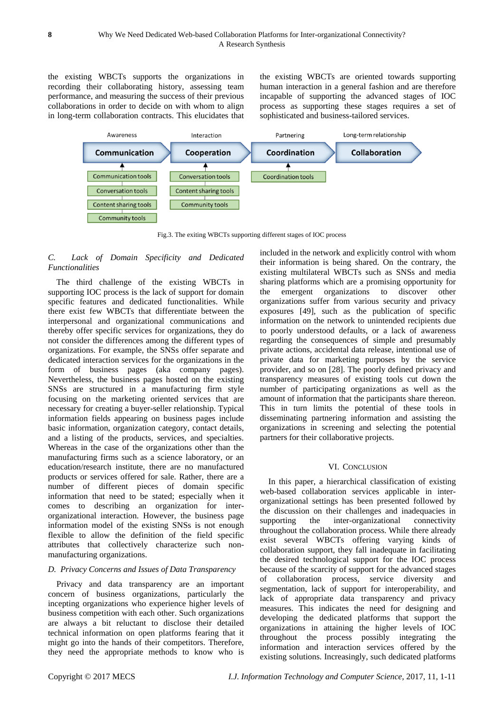the existing WBCTs supports the organizations in recording their collaborating history, assessing team performance, and measuring the success of their previous collaborations in order to decide on with whom to align in long-term collaboration contracts. This elucidates that the existing WBCTs are oriented towards supporting human interaction in a general fashion and are therefore incapable of supporting the advanced stages of IOC process as supporting these stages requires a set of sophisticated and business-tailored services.



Fig.3. The exiting WBCTs supporting different stages of IOC process

# *C. Lack of Domain Specificity and Dedicated Functionalities*

The third challenge of the existing WBCTs in supporting IOC process is the lack of support for domain specific features and dedicated functionalities. While there exist few WBCTs that differentiate between the interpersonal and organizational communications and thereby offer specific services for organizations, they do not consider the differences among the different types of organizations. For example, the SNSs offer separate and dedicated interaction services for the organizations in the form of business pages (aka company pages). Nevertheless, the business pages hosted on the existing SNSs are structured in a manufacturing firm style focusing on the marketing oriented services that are necessary for creating a buyer-seller relationship. Typical information fields appearing on business pages include basic information, organization category, contact details, and a listing of the products, services, and specialties. Whereas in the case of the organizations other than the manufacturing firms such as a science laboratory, or an education/research institute, there are no manufactured products or services offered for sale. Rather, there are a number of different pieces of domain specific information that need to be stated; especially when it comes to describing an organization for interorganizational interaction. However, the business page information model of the existing SNSs is not enough flexible to allow the definition of the field specific attributes that collectively characterize such nonmanufacturing organizations.

# *D. Privacy Concerns and Issues of Data Transparency*

Privacy and data transparency are an important concern of business organizations, particularly the incepting organizations who experience higher levels of business competition with each other. Such organizations are always a bit reluctant to disclose their detailed technical information on open platforms fearing that it might go into the hands of their competitors. Therefore, they need the appropriate methods to know who is included in the network and explicitly control with whom their information is being shared. On the contrary, the existing multilateral WBCTs such as SNSs and media sharing platforms which are a promising opportunity for the emergent organizations to discover other organizations suffer from various security and privacy exposures [49], such as the publication of specific information on the network to unintended recipients due to poorly understood defaults, or a lack of awareness regarding the consequences of simple and presumably private actions, accidental data release, intentional use of private data for marketing purposes by the service provider, and so on [28]. The poorly defined privacy and transparency measures of existing tools cut down the number of participating organizations as well as the amount of information that the participants share thereon. This in turn limits the potential of these tools in disseminating partnering information and assisting the organizations in screening and selecting the potential partners for their collaborative projects.

# VI. CONCLUSION

In this paper, a hierarchical classification of existing web-based collaboration services applicable in interorganizational settings has been presented followed by the discussion on their challenges and inadequacies in supporting the inter-organizational connectivity throughout the collaboration process. While there already exist several WBCTs offering varying kinds of collaboration support, they fall inadequate in facilitating the desired technological support for the IOC process because of the scarcity of support for the advanced stages of collaboration process, service diversity and segmentation, lack of support for interoperability, and lack of appropriate data transparency and privacy measures. This indicates the need for designing and developing the dedicated platforms that support the organizations in attaining the higher levels of IOC throughout the process possibly integrating the information and interaction services offered by the existing solutions. Increasingly, such dedicated platforms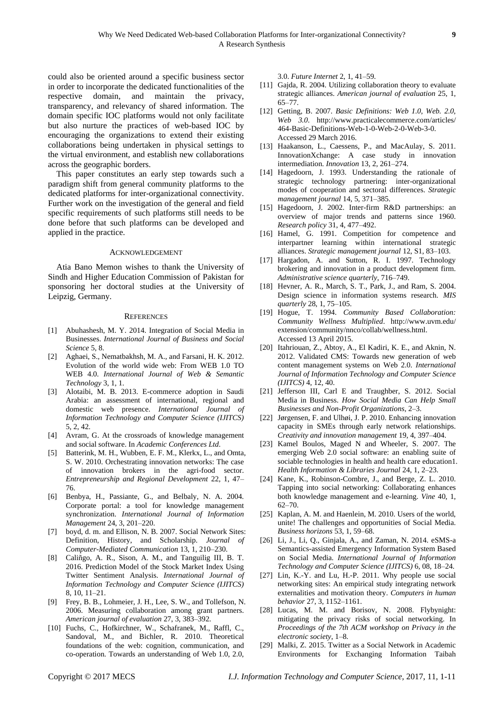could also be oriented around a specific business sector in order to incorporate the dedicated functionalities of the respective domain, and maintain the privacy, transparency, and relevancy of shared information. The domain specific IOC platforms would not only facilitate but also nurture the practices of web-based IOC by encouraging the organizations to extend their existing collaborations being undertaken in physical settings to the virtual environment, and establish new collaborations across the geographic borders.

This paper constitutes an early step towards such a paradigm shift from general community platforms to the dedicated platforms for inter-organizational connectivity. Further work on the investigation of the general and field specific requirements of such platforms still needs to be done before that such platforms can be developed and applied in the practice.

#### ACKNOWLEDGEMENT

Atia Bano Memon wishes to thank the University of Sindh and Higher Education Commission of Pakistan for sponsoring her doctoral studies at the University of Leipzig, Germany.

#### **REFERENCES**

- [1] Abuhashesh, M. Y. 2014. Integration of Social Media in Businesses. *International Journal of Business and Social Science* 5, 8.
- [2] Aghaei, S., Nematbakhsh, M. A., and Farsani, H. K. 2012. Evolution of the world wide web: From WEB 1.0 TO WEB 4.0. *International Journal of Web & Semantic Technology* 3, 1, 1.
- [3] Alotaibi, M. B. 2013. E-commerce adoption in Saudi Arabia: an assessment of international, regional and domestic web presence. *International Journal of Information Technology and Computer Science (IJITCS)* 5, 2, 42.
- [4] Avram, G. At the crossroads of knowledge management and social software. In *Academic Conferences Ltd*.
- [5] Batterink, M. H., Wubben, E. F. M., Klerkx, L., and Omta, S. W. 2010. Orchestrating innovation networks: The case of innovation brokers in the agri-food sector. *Entrepreneurship and Regional Development* 22, 1, 47– 76.
- [6] Benbya, H., Passiante, G., and Belbaly, N. A. 2004. Corporate portal: a tool for knowledge management synchronization. *International Journal of Information Management* 24, 3, 201–220.
- [7] boyd, d. m. and Ellison, N. B. 2007. Social Network Sites: Definition, History, and Scholarship. *Journal of Computer-Mediated Communication* 13, 1, 210–230.
- [8] Caliñgo, A. R., Sison, A. M., and Tanguilig III, B. T. 2016. Prediction Model of the Stock Market Index Using Twitter Sentiment Analysis. *International Journal of Information Technology and Computer Science (IJITCS)* 8, 10, 11–21.
- [9] Frey, B. B., Lohmeier, J. H., Lee, S. W., and Tollefson, N. 2006. Measuring collaboration among grant partners. *American journal of evaluation* 27, 3, 383–392.
- [10] Fuchs, C., Hofkirchner, W., Schafranek, M., Raffl, C., Sandoval, M., and Bichler, R. 2010. Theoretical foundations of the web: cognition, communication, and co-operation. Towards an understanding of Web 1.0, 2.0,

3.0. *Future Internet* 2, 1, 41–59.

- [11] Gajda, R. 2004. Utilizing collaboration theory to evaluate strategic alliances. *American journal of evaluation* 25, 1, 65–77.
- [12] Getting, B. 2007. *Basic Definitions: Web 1.0, Web. 2.0, Web 3.0*. http://www.practicalecommerce.com/articles/ 464-Basic-Definitions-Web-1-0-Web-2-0-Web-3-0. Accessed 29 March 2016.
- [13] Haakanson, L., Caessens, P., and MacAulay, S. 2011. InnovationXchange: A case study in innovation intermediation. *Innovation* 13, 2, 261–274.
- [14] Hagedoorn, J. 1993. Understanding the rationale of strategic technology partnering: inter-organizational modes of cooperation and sectoral differences. *Strategic management journal* 14, 5, 371–385.
- [15] Hagedoorn, J. 2002. Inter-firm R&D partnerships: an overview of major trends and patterns since 1960. *Research policy* 31, 4, 477–492.
- [16] Hamel, G. 1991. Competition for competence and interpartner learning within international strategic alliances. *Strategic management journal* 12, S1, 83–103.
- [17] Hargadon, A. and Sutton, R. I. 1997. Technology brokering and innovation in a product development firm. *Administrative science quarterly*, 716–749.
- [18] Hevner, A. R., March, S. T., Park, J., and Ram, S. 2004. Design science in information systems research. *MIS quarterly* 28, 1, 75–105.
- [19] Hogue, T. 1994. *Community Based Collaboration: Community Wellness Multiplied*. http://www.uvm.edu/ extension/community/nnco/collab/wellness.html. Accessed 13 April 2015.
- [20] Itahriouan, Z., Abtoy, A., El Kadiri, K. E., and Aknin, N. 2012. Validated CMS: Towards new generation of web content management systems on Web 2.0. *International Journal of Information Technology and Computer Science (IJITCS)* 4, 12, 40.
- [21] Jefferson III, Carl E and Traughber, S. 2012. Social Media in Business. *How Social Media Can Help Small Businesses and Non-Profit Organizations*, 2–3.
- [22] Jørgensen, F. and Ulhøi, J. P. 2010. Enhancing innovation capacity in SMEs through early network relationships. *Creativity and innovation management* 19, 4, 397–404.
- [23] Kamel Boulos, Maged N and Wheeler, S. 2007. The emerging Web 2.0 social software: an enabling suite of sociable technologies in health and health care education1. *Health Information & Libraries Journal* 24, 1, 2–23.
- [24] Kane, K., Robinson-Combre, J., and Berge, Z. L. 2010. Tapping into social networking: Collaborating enhances both knowledge management and e-learning. *Vine* 40, 1, 62–70.
- [25] Kaplan, A. M. and Haenlein, M. 2010. Users of the world, unite! The challenges and opportunities of Social Media. *Business horizons* 53, 1, 59–68.
- [26] Li, J., Li, Q., Ginjala, A., and Zaman, N. 2014. eSMS-a Semantics-assisted Emergency Information System Based on Social Media. *International Journal of Information Technology and Computer Science (IJITCS)* 6, 08, 18–24.
- [27] Lin, K.-Y. and Lu, H.-P. 2011. Why people use social networking sites: An empirical study integrating network externalities and motivation theory. *Computers in human behavior* 27, 3, 1152–1161.
- [28] Lucas, M. M. and Borisov, N. 2008. Flybynight: mitigating the privacy risks of social networking. In *Proceedings of the 7th ACM workshop on Privacy in the electronic society*, 1–8.
- [29] Malki, Z. 2015. Twitter as a Social Network in Academic Environments for Exchanging Information Taibah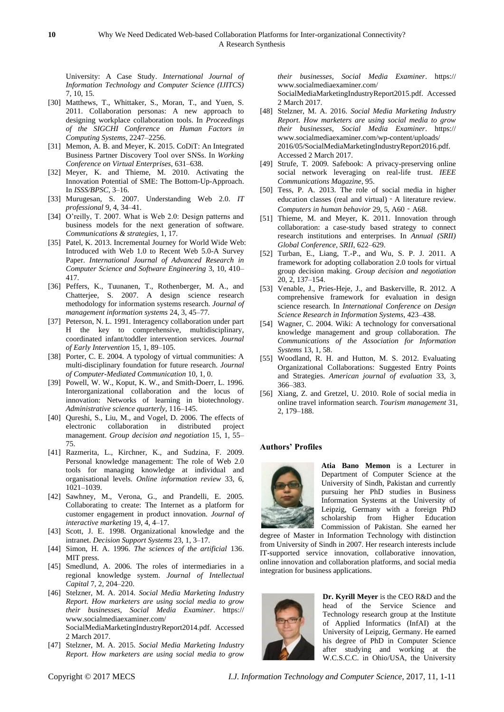University: A Case Study. *International Journal of Information Technology and Computer Science (IJITCS)* 7, 10, 15.

- [30] Matthews, T., Whittaker, S., Moran, T., and Yuen, S. 2011. Collaboration personas: A new approach to designing workplace collaboration tools. In *Proceedings of the SIGCHI Conference on Human Factors in Computing Systems*, 2247–2256.
- [31] Memon, A. B. and Meyer, K. 2015. CoDiT: An Integrated Business Partner Discovery Tool over SNSs. In *Working Conference on Virtual Enterprises*, 631–638.
- [32] Meyer, K. and Thieme, M. 2010. Activating the Innovation Potential of SME: The Bottom-Up-Approach. In *ISSS/BPSC*, 3–16.
- [33] Murugesan, S. 2007. Understanding Web 2.0. *IT professional* 9, 4, 34–41.
- [34] O'reilly, T. 2007. What is Web 2.0: Design patterns and business models for the next generation of software. *Communications & strategies,* 1, 17.
- [35] Patel, K. 2013. Incremental Journey for World Wide Web: Introduced with Web 1.0 to Recent Web 5.0-A Survey Paper. *International Journal of Advanced Research in Computer Science and Software Engineering* 3, 10, 410– 417.
- [36] Peffers, K., Tuunanen, T., Rothenberger, M. A., and Chatterjee, S. 2007. A design science research methodology for information systems research. *Journal of management information systems* 24, 3, 45–77.
- [37] Peterson, N. L. 1991. Interagency collaboration under part H the key to comprehensive, multidisciplinary, coordinated infant/toddler intervention services. *Journal of Early Intervention* 15, 1, 89–105.
- [38] Porter, C. E. 2004. A typology of virtual communities: A multi-disciplinary foundation for future research. *Journal of Computer-Mediated Communication* 10, 1, 0.
- [39] Powell, W. W., Koput, K. W., and Smith-Doerr, L. 1996. Interorganizational collaboration and the locus of innovation: Networks of learning in biotechnology. *Administrative science quarterly*, 116–145.
- [40] Qureshi, S., Liu, M., and Vogel, D. 2006. The effects of electronic collaboration in distributed project management. *Group decision and negotiation* 15, 1, 55– 75.
- [41] Razmerita, L., Kirchner, K., and Sudzina, F. 2009. Personal knowledge management: The role of Web 2.0 tools for managing knowledge at individual and organisational levels. *Online information review* 33, 6, 1021–1039.
- [42] Sawhney, M., Verona, G., and Prandelli, E. 2005. Collaborating to create: The Internet as a platform for customer engagement in product innovation. *Journal of interactive marketing* 19, 4, 4–17.
- [43] Scott, J. E. 1998. Organizational knowledge and the intranet. *Decision Support Systems* 23, 1, 3–17.
- [44] Simon, H. A. 1996. *The sciences of the artificial* 136. MIT press.
- [45] Smedlund, A. 2006. The roles of intermediaries in a regional knowledge system. *Journal of Intellectual Capital* 7, 2, 204–220.
- [46] Stelzner, M. A. 2014. *Social Media Marketing Industry Report. How marketers are using social media to grow their businesses, Social Media Examiner*. https:// www.socialmediaexaminer.com/ SocialMediaMarketingIndustryReport2014.pdf. Accessed 2 March 2017.
- [47] Stelzner, M. A. 2015. *Social Media Marketing Industry Report. How marketers are using social media to grow*

*their businesses, Social Media Examiner*. https:// www.socialmediaexaminer.com/ SocialMediaMarketingIndustryReport2015.pdf. Accessed 2 March 2017.

- [48] Stelzner, M. A. 2016. *Social Media Marketing Industry Report. How marketers are using social media to grow their businesses, Social Media Examiner*. https:// www.socialmediaexaminer.com/wp-content/uploads/ 2016/05/SocialMediaMarketingIndustryReport2016.pdf. Accessed 2 March 2017.
- [49] Strufe, T. 2009. Safebook: A privacy-preserving online social network leveraging on real-life trust. *IEEE Communications Magazine*, 95.
- [50] Tess, P. A. 2013. The role of social media in higher education classes (real and virtual)‐A literature review. *Computers in human behavior* 29, 5, A60 - A68.
- [51] Thieme, M. and Meyer, K. 2011. Innovation through collaboration: a case-study based strategy to connect research institutions and enterprises. In *Annual (SRII) Global Conference, SRII*, 622–629.
- [52] Turban, E., Liang, T.-P., and Wu, S. P. J. 2011. A framework for adopting collaboration 2.0 tools for virtual group decision making. *Group decision and negotiation* 20, 2, 137–154.
- [53] Venable, J., Pries-Heje, J., and Baskerville, R. 2012. A comprehensive framework for evaluation in design science research. In *International Conference on Design Science Research in Information Systems*, 423–438.
- [54] Wagner, C. 2004. Wiki: A technology for conversational knowledge management and group collaboration. *The Communications of the Association for Information Systems* 13, 1, 58.
- [55] Woodland, R. H. and Hutton, M. S. 2012. Evaluating Organizational Collaborations: Suggested Entry Points and Strategies. *American journal of evaluation* 33, 3, 366–383.
- [56] Xiang, Z. and Gretzel, U. 2010. Role of social media in online travel information search. *Tourism management* 31, 2, 179–188.

#### **Authors' Profiles**



**Atia Bano Memon** is a Lecturer in Department of Computer Science at the University of Sindh, Pakistan and currently pursuing her PhD studies in Business Information Systems at the University of Leipzig, Germany with a foreign PhD scholarship from Higher Education Commission of Pakistan. She earned her

degree of Master in Information Technology with distinction from University of Sindh in 2007. Her research interests include IT-supported service innovation, collaborative innovation, online innovation and collaboration platforms, and social media integration for business applications.



**Dr. Kyrill Meyer** is the CEO R&D and the head of the Service Science and Technology research group at the Institute of Applied Informatics (InfAI) at the University of Leipzig, Germany. He earned his degree of PhD in Computer Science after studying and working at the W.C.S.C.C. in Ohio/USA, the University